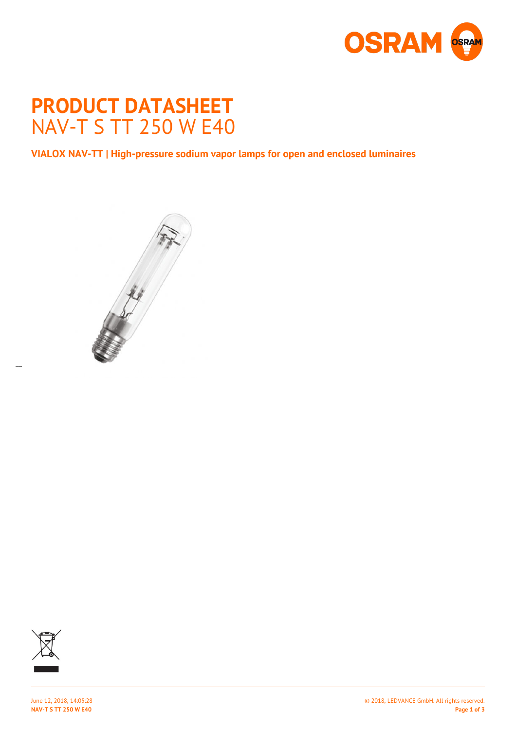

# **PRODUCT DATASHEET** NAV-T S TT 250 W E40

**VIALOX NAV-TT | High-pressure sodium vapor lamps for open and enclosed luminaires**





 $\overline{a}$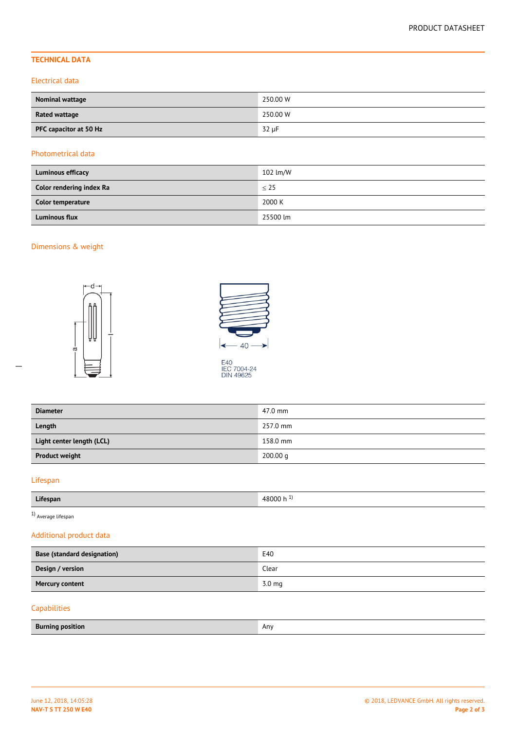# **TECHNICAL DATA**

## Electrical data

| <b>Nominal wattage</b> | 250.00 W |
|------------------------|----------|
| <b>Rated wattage</b>   | 250.00 W |
| PFC capacitor at 50 Hz | 32 µF    |

## Photometrical data

| <b>Luminous efficacy</b> | 102 lm/W  |
|--------------------------|-----------|
| Color rendering index Ra | $\leq$ 25 |
| Color temperature        | 2000 K    |
| <b>Luminous flux</b>     | 25500 lm  |

# Dimensions & weight





E40<br>IEC 7004-24<br>DIN 49625

| <b>Diameter</b>           | 47.0 mm  |
|---------------------------|----------|
| Length                    | 257.0 mm |
| Light center length (LCL) | 158.0 mm |
| <b>Product weight</b>     | 200.00 q |

# Lifespan

 $\overline{a}$ 

| .        | <b>RUUU</b>      |
|----------|------------------|
| -----    | <b><i>LA</i></b> |
| Lifespan | .                |

 $1)$  Average lifespan

# Additional product data

| <b>Base (standard designation)</b> | E40              |
|------------------------------------|------------------|
| Design / version                   | Clear            |
| <b>Mercury content</b>             | $3.0 \text{ mg}$ |
|                                    |                  |

# Capabilities

| <b>Burning</b><br>ı position<br>$    -$ | Any |
|-----------------------------------------|-----|
|                                         |     |